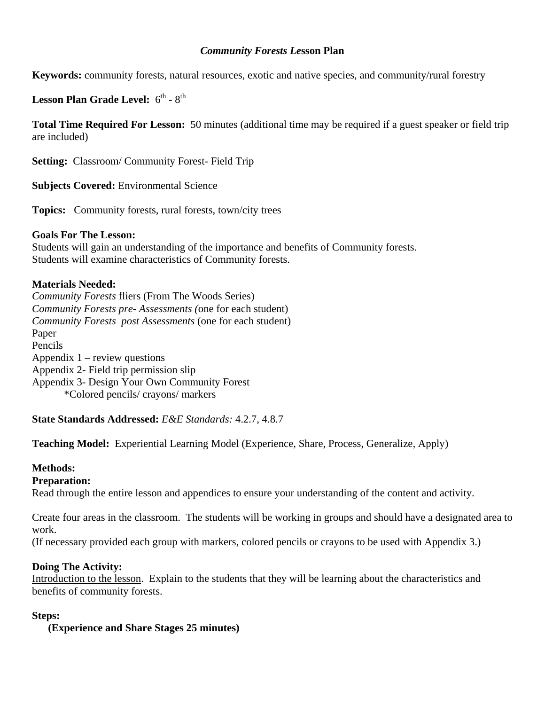### *Community Forests Le***sson Plan**

**Keywords:** community forests, natural resources, exotic and native species, and community/rural forestry

Lesson Plan Grade Level:  $6^{th}$  -  $8^{th}$ 

**Total Time Required For Lesson:** 50 minutes (additional time may be required if a guest speaker or field trip are included)

**Setting:** Classroom/ Community Forest- Field Trip

**Subjects Covered:** Environmental Science

**Topics:** Community forests, rural forests, town/city trees

## **Goals For The Lesson:**

Students will gain an understanding of the importance and benefits of Community forests. Students will examine characteristics of Community forests.

## **Materials Needed:**

*Community Forests* fliers (From The Woods Series) *Community Forests pre- Assessments (*one for each student) *Community Forests post Assessments* (one for each student) Paper Pencils Appendix  $1$  – review questions Appendix 2- Field trip permission slip Appendix 3- Design Your Own Community Forest \*Colored pencils/ crayons/ markers

**State Standards Addressed:** *E&E Standards:* 4.2.7, 4.8.7

**Teaching Model:** Experiential Learning Model (Experience, Share, Process, Generalize, Apply)

## **Methods:**

## **Preparation:**

Read through the entire lesson and appendices to ensure your understanding of the content and activity.

Create four areas in the classroom. The students will be working in groups and should have a designated area to work.

(If necessary provided each group with markers, colored pencils or crayons to be used with Appendix 3.)

## **Doing The Activity:**

Introduction to the lesson. Explain to the students that they will be learning about the characteristics and benefits of community forests.

#### **Steps:**

**(Experience and Share Stages 25 minutes)**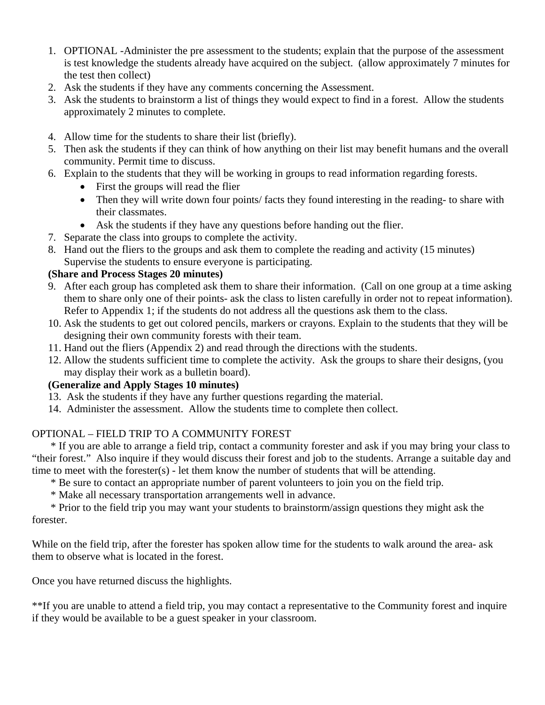- 1. OPTIONAL -Administer the pre assessment to the students; explain that the purpose of the assessment is test knowledge the students already have acquired on the subject. (allow approximately 7 minutes for the test then collect)
- 2. Ask the students if they have any comments concerning the Assessment.
- 3. Ask the students to brainstorm a list of things they would expect to find in a forest. Allow the students approximately 2 minutes to complete.
- 4. Allow time for the students to share their list (briefly).
- 5. Then ask the students if they can think of how anything on their list may benefit humans and the overall community. Permit time to discuss.
- 6. Explain to the students that they will be working in groups to read information regarding forests.
	- First the groups will read the flier
	- Then they will write down four points/ facts they found interesting in the reading- to share with their classmates.
	- Ask the students if they have any questions before handing out the flier.
- 7. Separate the class into groups to complete the activity.
- 8. Hand out the fliers to the groups and ask them to complete the reading and activity (15 minutes) Supervise the students to ensure everyone is participating.

## **(Share and Process Stages 20 minutes)**

- 9. After each group has completed ask them to share their information. (Call on one group at a time asking them to share only one of their points- ask the class to listen carefully in order not to repeat information). Refer to Appendix 1; if the students do not address all the questions ask them to the class.
- 10. Ask the students to get out colored pencils, markers or crayons. Explain to the students that they will be designing their own community forests with their team.
- 11. Hand out the fliers (Appendix 2) and read through the directions with the students.
- 12. Allow the students sufficient time to complete the activity. Ask the groups to share their designs, (you may display their work as a bulletin board).

## **(Generalize and Apply Stages 10 minutes)**

- 13. Ask the students if they have any further questions regarding the material.
- 14. Administer the assessment. Allow the students time to complete then collect.

# OPTIONAL – FIELD TRIP TO A COMMUNITY FOREST

 \* If you are able to arrange a field trip, contact a community forester and ask if you may bring your class to "their forest." Also inquire if they would discuss their forest and job to the students. Arrange a suitable day and time to meet with the forester(s) - let them know the number of students that will be attending.

- \* Be sure to contact an appropriate number of parent volunteers to join you on the field trip.
- \* Make all necessary transportation arrangements well in advance.

 \* Prior to the field trip you may want your students to brainstorm/assign questions they might ask the forester.

While on the field trip, after the forester has spoken allow time for the students to walk around the area- ask them to observe what is located in the forest.

Once you have returned discuss the highlights.

\*\*If you are unable to attend a field trip, you may contact a representative to the Community forest and inquire if they would be available to be a guest speaker in your classroom.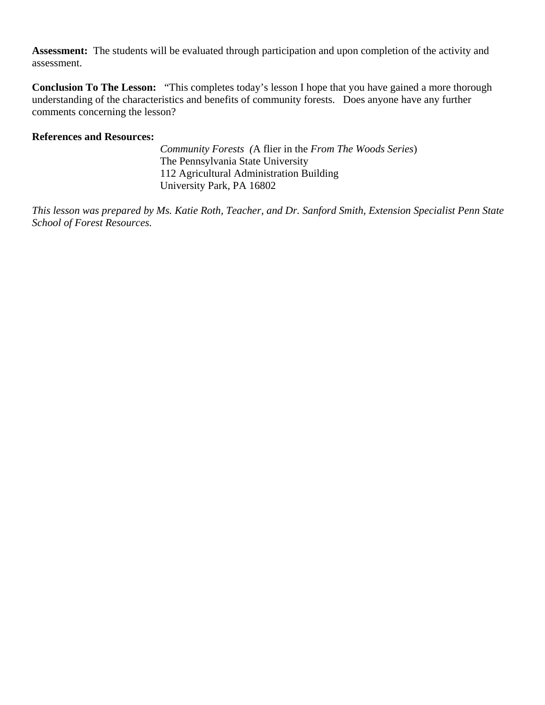**Assessment:** The students will be evaluated through participation and upon completion of the activity and assessment.

**Conclusion To The Lesson:** "This completes today's lesson I hope that you have gained a more thorough understanding of the characteristics and benefits of community forests. Does anyone have any further comments concerning the lesson?

### **References and Resources:**

 *Community Forests (*A flier in the *From The Woods Series*) The Pennsylvania State University 112 Agricultural Administration Building University Park, PA 16802

*This lesson was prepared by Ms. Katie Roth, Teacher, and Dr. Sanford Smith, Extension Specialist Penn State School of Forest Resources.*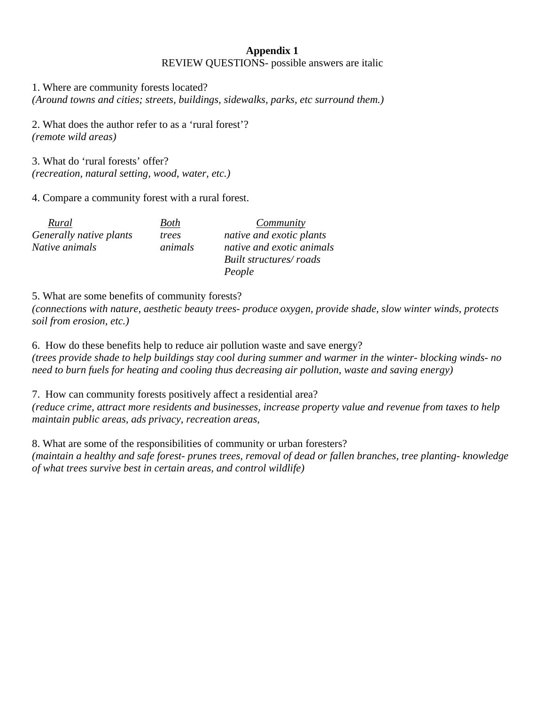## **Appendix 1**  REVIEW QUESTIONS- possible answers are italic

1. Where are community forests located?

*(Around towns and cities; streets, buildings, sidewalks, parks, etc surround them.)* 

2. What does the author refer to as a 'rural forest'? *(remote wild areas)* 

3. What do 'rural forests' offer? *(recreation, natural setting, wood, water, etc.)* 

4. Compare a community forest with a rural forest.

| Rural                   | Both    | Community                 |
|-------------------------|---------|---------------------------|
| Generally native plants | trees   | native and exotic plants  |
| Native animals          | animals | native and exotic animals |
|                         |         | Built structures/roads    |
|                         |         | People                    |

5. What are some benefits of community forests?

*(connections with nature, aesthetic beauty trees- produce oxygen, provide shade, slow winter winds, protects soil from erosion, etc.)* 

6. How do these benefits help to reduce air pollution waste and save energy? *(trees provide shade to help buildings stay cool during summer and warmer in the winter- blocking winds- no need to burn fuels for heating and cooling thus decreasing air pollution, waste and saving energy)* 

7. How can community forests positively affect a residential area?

*(reduce crime, attract more residents and businesses, increase property value and revenue from taxes to help maintain public areas, ads privacy, recreation areas,* 

8. What are some of the responsibilities of community or urban foresters?

*(maintain a healthy and safe forest- prunes trees, removal of dead or fallen branches, tree planting- knowledge of what trees survive best in certain areas, and control wildlife)*